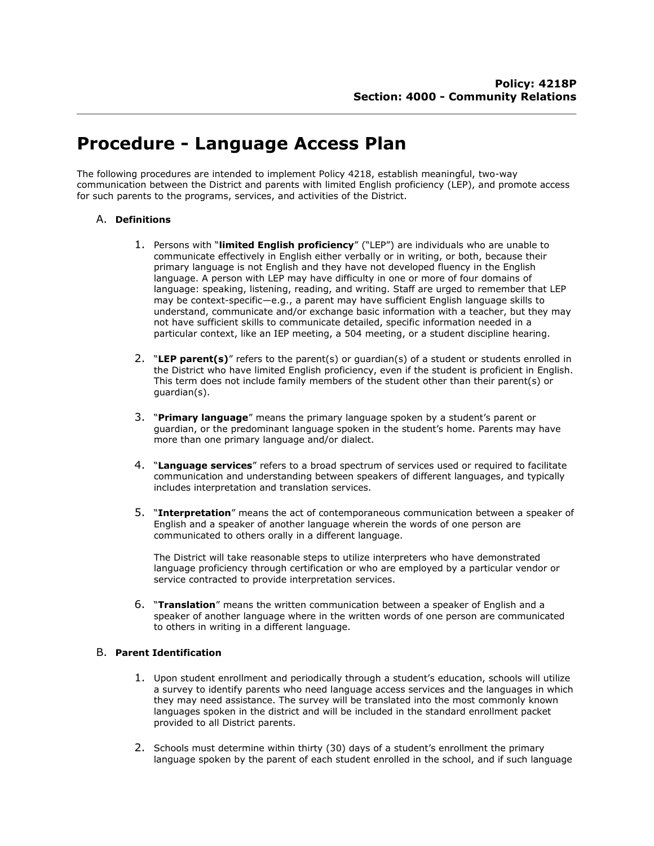# **Procedure - Language Access Plan**

The following procedures are intended to implement Policy 4218, establish meaningful, two-way communication between the District and parents with limited English proficiency (LEP), and promote access for such parents to the programs, services, and activities of the District.

# A. **Definitions**

- 1. Persons with "**limited English proficiency**" ("LEP") are individuals who are unable to communicate effectively in English either verbally or in writing, or both, because their primary language is not English and they have not developed fluency in the English language. A person with LEP may have difficulty in one or more of four domains of language: speaking, listening, reading, and writing. Staff are urged to remember that LEP may be context-specific—e.g., a parent may have sufficient English language skills to understand, communicate and/or exchange basic information with a teacher, but they may not have sufficient skills to communicate detailed, specific information needed in a particular context, like an IEP meeting, a 504 meeting, or a student discipline hearing.
- 2. "**LEP parent(s)**" refers to the parent(s) or guardian(s) of a student or students enrolled in the District who have limited English proficiency, even if the student is proficient in English. This term does not include family members of the student other than their parent(s) or guardian(s).
- 3. "**Primary language**" means the primary language spoken by a student's parent or guardian, or the predominant language spoken in the student's home. Parents may have more than one primary language and/or dialect.
- 4. "**Language services**" refers to a broad spectrum of services used or required to facilitate communication and understanding between speakers of different languages, and typically includes interpretation and translation services.
- 5. "**Interpretation**" means the act of contemporaneous communication between a speaker of English and a speaker of another language wherein the words of one person are communicated to others orally in a different language.

The District will take reasonable steps to utilize interpreters who have demonstrated language proficiency through certification or who are employed by a particular vendor or service contracted to provide interpretation services.

6. "**Translation**" means the written communication between a speaker of English and a speaker of another language where in the written words of one person are communicated to others in writing in a different language.

# B. **Parent Identification**

- 1. Upon student enrollment and periodically through a student's education, schools will utilize a survey to identify parents who need language access services and the languages in which they may need assistance. The survey will be translated into the most commonly known languages spoken in the district and will be included in the standard enrollment packet provided to all District parents.
- 2. Schools must determine within thirty (30) days of a student's enrollment the primary language spoken by the parent of each student enrolled in the school, and if such language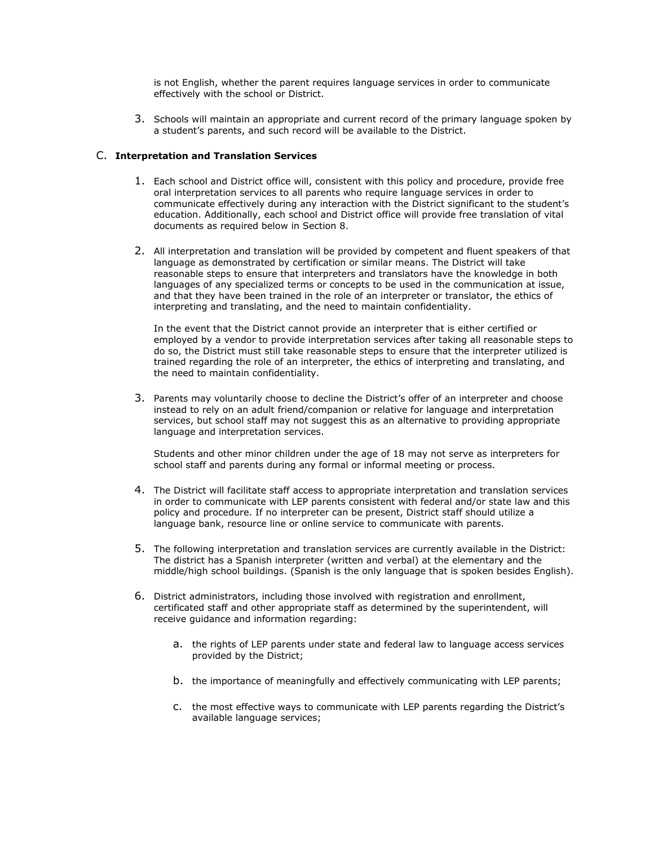is not English, whether the parent requires language services in order to communicate effectively with the school or District.

3. Schools will maintain an appropriate and current record of the primary language spoken by a student's parents, and such record will be available to the District.

### C. **Interpretation and Translation Services**

- 1. Each school and District office will, consistent with this policy and procedure, provide free oral interpretation services to all parents who require language services in order to communicate effectively during any interaction with the District significant to the student's education. Additionally, each school and District office will provide free translation of vital documents as required below in Section 8.
- 2. All interpretation and translation will be provided by competent and fluent speakers of that language as demonstrated by certification or similar means. The District will take reasonable steps to ensure that interpreters and translators have the knowledge in both languages of any specialized terms or concepts to be used in the communication at issue, and that they have been trained in the role of an interpreter or translator, the ethics of interpreting and translating, and the need to maintain confidentiality.

In the event that the District cannot provide an interpreter that is either certified or employed by a vendor to provide interpretation services after taking all reasonable steps to do so, the District must still take reasonable steps to ensure that the interpreter utilized is trained regarding the role of an interpreter, the ethics of interpreting and translating, and the need to maintain confidentiality.

3. Parents may voluntarily choose to decline the District's offer of an interpreter and choose instead to rely on an adult friend/companion or relative for language and interpretation services, but school staff may not suggest this as an alternative to providing appropriate language and interpretation services.

Students and other minor children under the age of 18 may not serve as interpreters for school staff and parents during any formal or informal meeting or process.

- 4. The District will facilitate staff access to appropriate interpretation and translation services in order to communicate with LEP parents consistent with federal and/or state law and this policy and procedure. If no interpreter can be present, District staff should utilize a language bank, resource line or online service to communicate with parents.
- 5. The following interpretation and translation services are currently available in the District: The district has a Spanish interpreter (written and verbal) at the elementary and the middle/high school buildings. (Spanish is the only language that is spoken besides English).
- 6. District administrators, including those involved with registration and enrollment, certificated staff and other appropriate staff as determined by the superintendent, will receive guidance and information regarding:
	- a. the rights of LEP parents under state and federal law to language access services provided by the District;
	- b. the importance of meaningfully and effectively communicating with LEP parents;
	- c. the most effective ways to communicate with LEP parents regarding the District's available language services;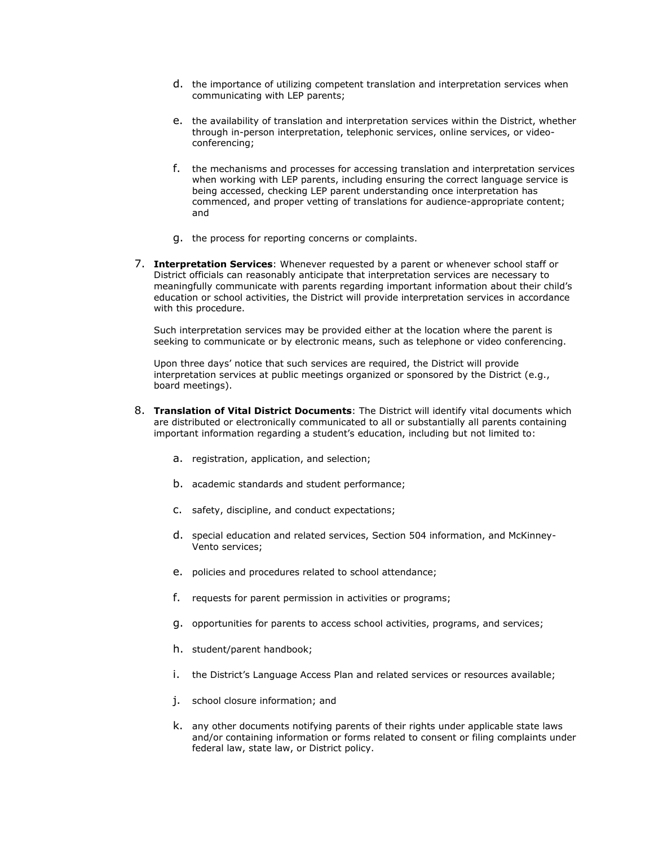- d. the importance of utilizing competent translation and interpretation services when communicating with LEP parents;
- e. the availability of translation and interpretation services within the District, whether through in-person interpretation, telephonic services, online services, or videoconferencing;
- f. the mechanisms and processes for accessing translation and interpretation services when working with LEP parents, including ensuring the correct language service is being accessed, checking LEP parent understanding once interpretation has commenced, and proper vetting of translations for audience-appropriate content; and
- g. the process for reporting concerns or complaints.
- 7. **Interpretation Services**: Whenever requested by a parent or whenever school staff or District officials can reasonably anticipate that interpretation services are necessary to meaningfully communicate with parents regarding important information about their child's education or school activities, the District will provide interpretation services in accordance with this procedure.

Such interpretation services may be provided either at the location where the parent is seeking to communicate or by electronic means, such as telephone or video conferencing.

Upon three days' notice that such services are required, the District will provide interpretation services at public meetings organized or sponsored by the District (e.g., board meetings).

- 8. **Translation of Vital District Documents**: The District will identify vital documents which are distributed or electronically communicated to all or substantially all parents containing important information regarding a student's education, including but not limited to:
	- a. registration, application, and selection;
	- b. academic standards and student performance;
	- c. safety, discipline, and conduct expectations;
	- d. special education and related services, Section 504 information, and McKinney-Vento services;
	- e. policies and procedures related to school attendance;
	- f. requests for parent permission in activities or programs;
	- g. opportunities for parents to access school activities, programs, and services;
	- h. student/parent handbook;
	- i. the District's Language Access Plan and related services or resources available;
	- j. school closure information; and
	- k. any other documents notifying parents of their rights under applicable state laws and/or containing information or forms related to consent or filing complaints under federal law, state law, or District policy.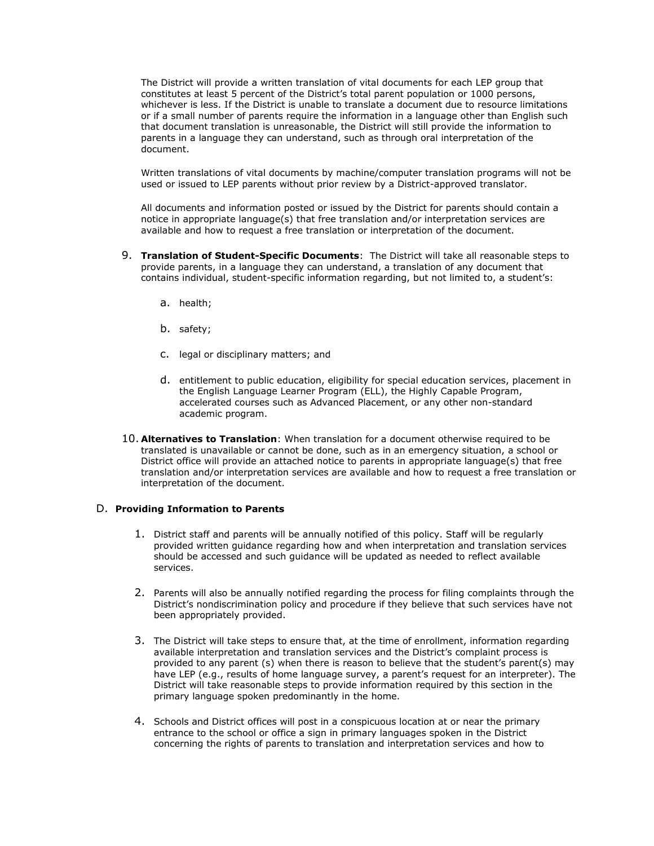The District will provide a written translation of vital documents for each LEP group that constitutes at least 5 percent of the District's total parent population or 1000 persons, whichever is less. If the District is unable to translate a document due to resource limitations or if a small number of parents require the information in a language other than English such that document translation is unreasonable, the District will still provide the information to parents in a language they can understand, such as through oral interpretation of the document.

Written translations of vital documents by machine/computer translation programs will not be used or issued to LEP parents without prior review by a District-approved translator.

All documents and information posted or issued by the District for parents should contain a notice in appropriate language(s) that free translation and/or interpretation services are available and how to request a free translation or interpretation of the document.

- 9. **Translation of Student-Specific Documents**: The District will take all reasonable steps to provide parents, in a language they can understand, a translation of any document that contains individual, student-specific information regarding, but not limited to, a student's:
	- a. health;
	- b. safety;
	- c. legal or disciplinary matters; and
	- d. entitlement to public education, eligibility for special education services, placement in the English Language Learner Program (ELL), the Highly Capable Program, accelerated courses such as Advanced Placement, or any other non-standard academic program.
- 10. **Alternatives to Translation**: When translation for a document otherwise required to be translated is unavailable or cannot be done, such as in an emergency situation, a school or District office will provide an attached notice to parents in appropriate language(s) that free translation and/or interpretation services are available and how to request a free translation or interpretation of the document.

### D. **Providing Information to Parents**

- 1. District staff and parents will be annually notified of this policy. Staff will be regularly provided written guidance regarding how and when interpretation and translation services should be accessed and such guidance will be updated as needed to reflect available services.
- 2. Parents will also be annually notified regarding the process for filing complaints through the District's nondiscrimination policy and procedure if they believe that such services have not been appropriately provided.
- 3. The District will take steps to ensure that, at the time of enrollment, information regarding available interpretation and translation services and the District's complaint process is provided to any parent (s) when there is reason to believe that the student's parent(s) may have LEP (e.g., results of home language survey, a parent's request for an interpreter). The District will take reasonable steps to provide information required by this section in the primary language spoken predominantly in the home.
- 4. Schools and District offices will post in a conspicuous location at or near the primary entrance to the school or office a sign in primary languages spoken in the District concerning the rights of parents to translation and interpretation services and how to